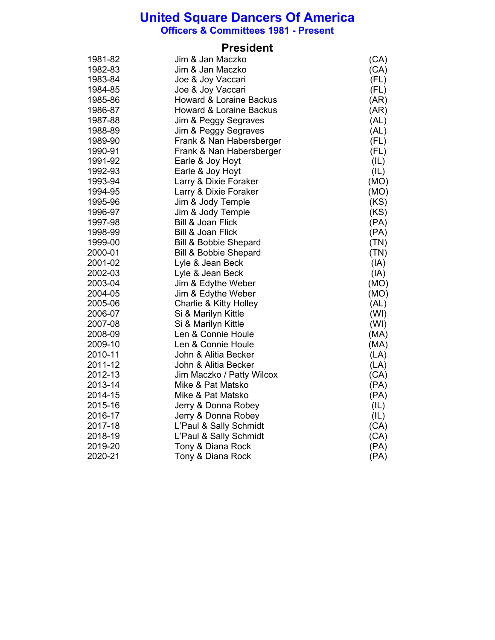**Officers & Committees 1981 - Present**

## **President**

| 1981-82 | Jim & Jan Maczko                   | (CA) |
|---------|------------------------------------|------|
| 1982-83 | Jim & Jan Maczko                   | (CA) |
| 1983-84 | Joe & Joy Vaccari                  | (FL) |
| 1984-85 | Joe & Joy Vaccari                  | (FL) |
| 1985-86 | <b>Howard &amp; Loraine Backus</b> | (AR) |
| 1986-87 | <b>Howard &amp; Loraine Backus</b> | (AR) |
| 1987-88 | Jim & Peggy Segraves               | (AL) |
| 1988-89 | Jim & Peggy Segraves               | (AL) |
| 1989-90 | Frank & Nan Habersberger           | (FL) |
| 1990-91 | Frank & Nan Habersberger           | (FL) |
| 1991-92 | Earle & Joy Hoyt                   | (IL) |
| 1992-93 | Earle & Joy Hoyt                   | (IL) |
| 1993-94 | Larry & Dixie Foraker              | (MO) |
| 1994-95 | Larry & Dixie Foraker              | (MO) |
| 1995-96 | Jim & Jody Temple                  | (KS) |
| 1996-97 | Jim & Jody Temple                  | (KS) |
| 1997-98 | <b>Bill &amp; Joan Flick</b>       | (PA) |
| 1998-99 | <b>Bill &amp; Joan Flick</b>       | (PA) |
| 1999-00 | <b>Bill &amp; Bobbie Shepard</b>   | (TN) |
| 2000-01 | <b>Bill &amp; Bobbie Shepard</b>   | (TN) |
| 2001-02 | Lyle & Jean Beck                   | (IA) |
| 2002-03 | Lyle & Jean Beck                   | (IA) |
| 2003-04 | Jim & Edythe Weber                 | (MO) |
| 2004-05 | Jim & Edythe Weber                 | (MO) |
| 2005-06 | <b>Charlie &amp; Kitty Holley</b>  | (AL) |
| 2006-07 | Si & Marilyn Kittle                | (WI) |
| 2007-08 | Si & Marilyn Kittle                | (WI) |
| 2008-09 | Len & Connie Houle                 | (MA) |
| 2009-10 | Len & Connie Houle                 | (MA) |
| 2010-11 | John & Alitia Becker               | (LA) |
| 2011-12 | John & Alitia Becker               | (LA) |
| 2012-13 | Jim Maczko / Patty Wilcox          | (CA) |
| 2013-14 | Mike & Pat Matsko                  | (PA) |
| 2014-15 | Mike & Pat Matsko                  | (PA) |
| 2015-16 | Jerry & Donna Robey                | (IL) |
| 2016-17 | Jerry & Donna Robey                | (IL) |
| 2017-18 | L'Paul & Sally Schmidt             | (CA) |
| 2018-19 | L'Paul & Sally Schmidt             | (CA) |
| 2019-20 | Tony & Diana Rock                  | (PA) |
| 2020-21 | Tony & Diana Rock                  | (PA) |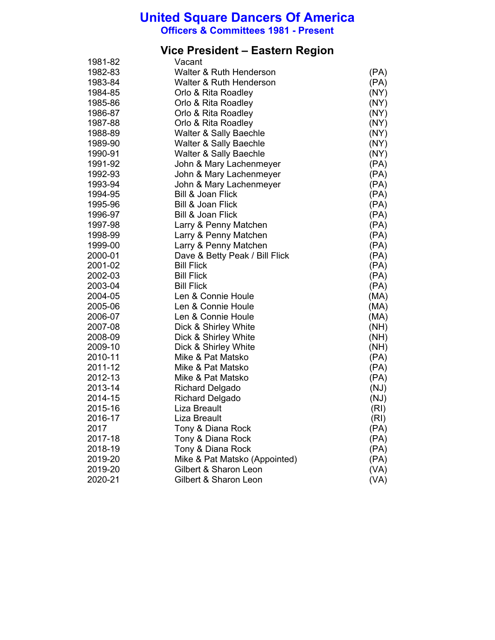**Officers & Committees 1981 - Present**

#### **Vice President – Eastern Region**

| 1981-82 | Vacant                         |      |
|---------|--------------------------------|------|
| 1982-83 | Walter & Ruth Henderson        | (PA) |
| 1983-84 | Walter & Ruth Henderson        | (PA) |
| 1984-85 | Orlo & Rita Roadley            | (NY) |
| 1985-86 | Orlo & Rita Roadley            | (NY) |
| 1986-87 | Orlo & Rita Roadley            | (NY) |
| 1987-88 | Orlo & Rita Roadley            | (NY) |
| 1988-89 | Walter & Sally Baechle         | (NY) |
| 1989-90 | Walter & Sally Baechle         | (NY) |
| 1990-91 | Walter & Sally Baechle         | (NY) |
| 1991-92 | John & Mary Lachenmeyer        | (PA) |
| 1992-93 | John & Mary Lachenmeyer        | (PA) |
| 1993-94 | John & Mary Lachenmeyer        | (PA) |
| 1994-95 | Bill & Joan Flick              | (PA) |
| 1995-96 | <b>Bill &amp; Joan Flick</b>   | (PA) |
| 1996-97 | <b>Bill &amp; Joan Flick</b>   | (PA) |
| 1997-98 | Larry & Penny Matchen          | (PA) |
| 1998-99 | Larry & Penny Matchen          | (PA) |
| 1999-00 | Larry & Penny Matchen          | (PA) |
| 2000-01 | Dave & Betty Peak / Bill Flick | (PA) |
| 2001-02 | <b>Bill Flick</b>              | (PA) |
| 2002-03 | <b>Bill Flick</b>              | (PA) |
| 2003-04 | <b>Bill Flick</b>              | (PA) |
| 2004-05 | Len & Connie Houle             | (MA) |
| 2005-06 | Len & Connie Houle             | (MA) |
| 2006-07 | Len & Connie Houle             | (MA) |
| 2007-08 | Dick & Shirley White           | (NH) |
| 2008-09 | Dick & Shirley White           | (NH) |
| 2009-10 | Dick & Shirley White           | (MH) |
| 2010-11 | Mike & Pat Matsko              | (PA) |
| 2011-12 | Mike & Pat Matsko              | (PA) |
| 2012-13 | Mike & Pat Matsko              | (PA) |
| 2013-14 | <b>Richard Delgado</b>         | (NJ) |
| 2014-15 | <b>Richard Delgado</b>         | (NJ) |
| 2015-16 | Liza Breault                   | (RI) |
| 2016-17 | Liza Breault                   | (RI) |
| 2017    | Tony & Diana Rock              | (PA) |
| 2017-18 | Tony & Diana Rock              | (PA) |
| 2018-19 | Tony & Diana Rock              | (PA) |
| 2019-20 | Mike & Pat Matsko (Appointed)  | (PA) |
| 2019-20 | Gilbert & Sharon Leon          | (VA) |
| 2020-21 | Gilbert & Sharon Leon          | (VA) |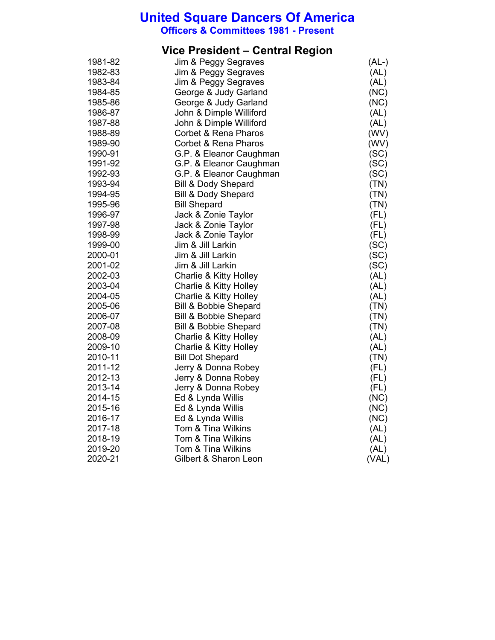**Officers & Committees 1981 - Present**

## **Vice President – Central Region**

| 1981-82 | Jim & Peggy Segraves              | $(AL-)$ |
|---------|-----------------------------------|---------|
| 1982-83 | Jim & Peggy Segraves              | (AL)    |
| 1983-84 | Jim & Peggy Segraves              | (AL)    |
| 1984-85 | George & Judy Garland             | (NC)    |
| 1985-86 | George & Judy Garland             | (NC)    |
| 1986-87 | John & Dimple Williford           | (AL)    |
| 1987-88 | John & Dimple Williford           | (AL)    |
| 1988-89 | Corbet & Rena Pharos              | (WV)    |
| 1989-90 | <b>Corbet &amp; Rena Pharos</b>   | (WV)    |
| 1990-91 | G.P. & Eleanor Caughman           | (SC)    |
| 1991-92 | G.P. & Eleanor Caughman           | (SC)    |
| 1992-93 | G.P. & Eleanor Caughman           | (SC)    |
| 1993-94 | <b>Bill &amp; Dody Shepard</b>    | (TN)    |
| 1994-95 | <b>Bill &amp; Dody Shepard</b>    | (TN)    |
| 1995-96 | <b>Bill Shepard</b>               | (TN)    |
| 1996-97 | Jack & Zonie Taylor               | (FL)    |
| 1997-98 | Jack & Zonie Taylor               | (FL)    |
| 1998-99 | Jack & Zonie Taylor               | (FL)    |
| 1999-00 | Jim & Jill Larkin                 | (SC)    |
| 2000-01 | Jim & Jill Larkin                 | (SC)    |
| 2001-02 | Jim & Jill Larkin                 | (SC)    |
| 2002-03 | Charlie & Kitty Holley            | (AL)    |
| 2003-04 | Charlie & Kitty Holley            | (AL)    |
| 2004-05 | Charlie & Kitty Holley            | (AL)    |
| 2005-06 | <b>Bill &amp; Bobbie Shepard</b>  | (TN)    |
| 2006-07 | <b>Bill &amp; Bobbie Shepard</b>  | (TN)    |
| 2007-08 | <b>Bill &amp; Bobbie Shepard</b>  | (TN)    |
| 2008-09 | Charlie & Kitty Holley            | (AL)    |
| 2009-10 | <b>Charlie &amp; Kitty Holley</b> | (AL)    |
| 2010-11 | <b>Bill Dot Shepard</b>           | (TN)    |
| 2011-12 | Jerry & Donna Robey               | (FL)    |
| 2012-13 | Jerry & Donna Robey               | (FL)    |
| 2013-14 | Jerry & Donna Robey               | (FL)    |
| 2014-15 | Ed & Lynda Willis                 | (NC)    |
| 2015-16 | Ed & Lynda Willis                 | (NC)    |
| 2016-17 | Ed & Lynda Willis                 | (NC)    |
| 2017-18 | Tom & Tina Wilkins                | (AL)    |
| 2018-19 | Tom & Tina Wilkins                | (AL)    |
| 2019-20 | Tom & Tina Wilkins                | (AL)    |
| 2020-21 | Gilbert & Sharon Leon             | (VAL)   |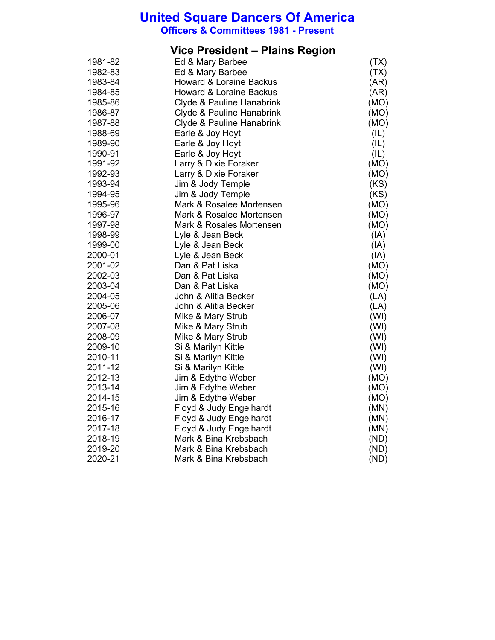**Officers & Committees 1981 - Present**

## **Vice President – Plains Region**

| 1981-82 | Ed & Mary Barbee                   | (TX) |
|---------|------------------------------------|------|
| 1982-83 | Ed & Mary Barbee                   | (TX) |
| 1983-84 | <b>Howard &amp; Loraine Backus</b> | (AR) |
| 1984-85 | <b>Howard &amp; Loraine Backus</b> | (AR) |
| 1985-86 | Clyde & Pauline Hanabrink          | (MO) |
| 1986-87 | Clyde & Pauline Hanabrink          | (MO) |
| 1987-88 | Clyde & Pauline Hanabrink          | (MO) |
| 1988-69 | Earle & Joy Hoyt                   | (IL) |
| 1989-90 | Earle & Joy Hoyt                   | (IL) |
| 1990-91 | Earle & Joy Hoyt                   | (IL) |
| 1991-92 | Larry & Dixie Foraker              | (MO) |
| 1992-93 | Larry & Dixie Foraker              | (MO) |
| 1993-94 | Jim & Jody Temple                  | (KS) |
| 1994-95 | Jim & Jody Temple                  | (KS) |
| 1995-96 | Mark & Rosalee Mortensen           | (MO) |
| 1996-97 | Mark & Rosalee Mortensen           | (MO) |
| 1997-98 | Mark & Rosales Mortensen           | (MO) |
| 1998-99 | Lyle & Jean Beck                   | (IA) |
| 1999-00 | Lyle & Jean Beck                   | (IA) |
| 2000-01 | Lyle & Jean Beck                   | (IA) |
| 2001-02 | Dan & Pat Liska                    | (MO) |
| 2002-03 | Dan & Pat Liska                    | (MO) |
| 2003-04 | Dan & Pat Liska                    | (MO) |
| 2004-05 | John & Alitia Becker               | (LA) |
| 2005-06 | John & Alitia Becker               | (LA) |
| 2006-07 | Mike & Mary Strub                  | (WI) |
| 2007-08 | Mike & Mary Strub                  | (WI) |
| 2008-09 | Mike & Mary Strub                  | (WI) |
| 2009-10 | Si & Marilyn Kittle                | (WI) |
| 2010-11 | Si & Marilyn Kittle                | (WI) |
| 2011-12 | Si & Marilyn Kittle                | (WI) |
| 2012-13 | Jim & Edythe Weber                 | (MO) |
| 2013-14 | Jim & Edythe Weber                 | (MO) |
| 2014-15 | Jim & Edythe Weber                 | (MO) |
| 2015-16 | Floyd & Judy Engelhardt            | (MN) |
| 2016-17 | Floyd & Judy Engelhardt            | (MN) |
| 2017-18 | Floyd & Judy Engelhardt            | (MN) |
| 2018-19 | Mark & Bina Krebsbach              | (ND) |
| 2019-20 | Mark & Bina Krebsbach              | (ND) |
| 2020-21 | Mark & Bina Krebsbach              | (ND) |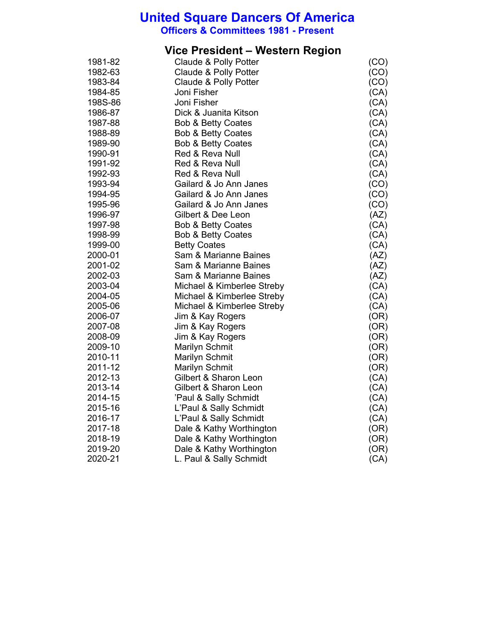**Officers & Committees 1981 - Present**

## **Vice President – Western Region**

| 1981-82 | Claude & Polly Potter         | (CO) |
|---------|-------------------------------|------|
| 1982-63 | Claude & Polly Potter         | (CO) |
| 1983-84 | Claude & Polly Potter         | (CO) |
| 1984-85 | Joni Fisher                   | (CA) |
| 198S-86 | Joni Fisher                   | (CA) |
| 1986-87 | Dick & Juanita Kitson         | (CA) |
| 1987-88 | <b>Bob &amp; Betty Coates</b> | (CA) |
| 1988-89 | <b>Bob &amp; Betty Coates</b> | (CA) |
| 1989-90 | <b>Bob &amp; Betty Coates</b> | (CA) |
| 1990-91 | Red & Reva Null               | (CA) |
| 1991-92 | Red & Reva Null               | (CA) |
| 1992-93 | Red & Reva Null               | (CA) |
| 1993-94 | Gailard & Jo Ann Janes        | (CO) |
| 1994-95 | Gailard & Jo Ann Janes        | (CO) |
| 1995-96 | Gailard & Jo Ann Janes        | (CO) |
| 1996-97 | Gilbert & Dee Leon            | (AZ) |
| 1997-98 | <b>Bob &amp; Betty Coates</b> | (CA) |
| 1998-99 | <b>Bob &amp; Betty Coates</b> | (CA) |
| 1999-00 | <b>Betty Coates</b>           | (CA) |
| 2000-01 | Sam & Marianne Baines         | (AZ) |
| 2001-02 | Sam & Marianne Baines         | (AZ) |
| 2002-03 | Sam & Marianne Baines         | (AZ) |
| 2003-04 | Michael & Kimberlee Streby    | (CA) |
| 2004-05 | Michael & Kimberlee Streby    | (CA) |
| 2005-06 | Michael & Kimberlee Streby    | (CA) |
| 2006-07 | Jim & Kay Rogers              | (OR) |
| 2007-08 | Jim & Kay Rogers              | (OR) |
| 2008-09 | Jim & Kay Rogers              | (OR) |
| 2009-10 | <b>Marilyn Schmit</b>         | (OR) |
| 2010-11 | Marilyn Schmit                | (OR) |
| 2011-12 | Marilyn Schmit                | (OR) |
| 2012-13 | Gilbert & Sharon Leon         | (CA) |
| 2013-14 | Gilbert & Sharon Leon         | (CA) |
| 2014-15 | 'Paul & Sally Schmidt         | (CA) |
| 2015-16 | L'Paul & Sally Schmidt        | (CA) |
| 2016-17 | L'Paul & Sally Schmidt        | (CA) |
| 2017-18 | Dale & Kathy Worthington      | (OR) |
| 2018-19 | Dale & Kathy Worthington      | (OR) |
| 2019-20 | Dale & Kathy Worthington      | (OR) |
| 2020-21 | L. Paul & Sally Schmidt       | (CA) |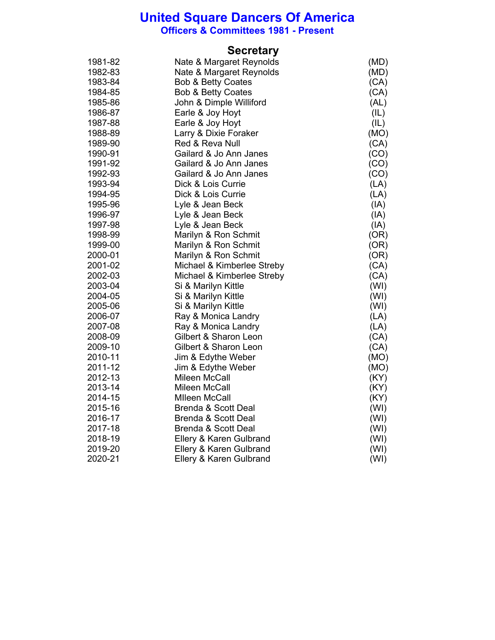**Officers & Committees 1981 - Present**

|         | <b>Secretary</b>               |      |
|---------|--------------------------------|------|
| 1981-82 | Nate & Margaret Reynolds       | (MD) |
| 1982-83 | Nate & Margaret Reynolds       | (MD) |
| 1983-84 | <b>Bob &amp; Betty Coates</b>  | (CA) |
| 1984-85 | <b>Bob &amp; Betty Coates</b>  | (CA) |
| 1985-86 | John & Dimple Williford        | (AL) |
| 1986-87 | Earle & Joy Hoyt               | (IL) |
| 1987-88 | Earle & Joy Hoyt               | (IL) |
| 1988-89 | Larry & Dixie Foraker          | (MO) |
| 1989-90 | Red & Reva Null                | (CA) |
| 1990-91 | Gailard & Jo Ann Janes         | (CO) |
| 1991-92 | Gailard & Jo Ann Janes         | (CO) |
| 1992-93 | Gailard & Jo Ann Janes         | (CO) |
| 1993-94 | Dick & Lois Currie             | (LA) |
| 1994-95 | Dick & Lois Currie             | (LA) |
| 1995-96 | Lyle & Jean Beck               | (IA) |
| 1996-97 | Lyle & Jean Beck               | (IA) |
| 1997-98 | Lyle & Jean Beck               | (AI) |
| 1998-99 | Marilyn & Ron Schmit           | (OR) |
| 1999-00 | Marilyn & Ron Schmit           | (OR) |
| 2000-01 | Marilyn & Ron Schmit           | (OR) |
| 2001-02 | Michael & Kimberlee Streby     | (CA) |
| 2002-03 | Michael & Kimberlee Streby     | (CA) |
| 2003-04 | Si & Marilyn Kittle            | (WI) |
| 2004-05 | Si & Marilyn Kittle            | (WI) |
| 2005-06 | Si & Marilyn Kittle            | (WI) |
| 2006-07 | Ray & Monica Landry            | (LA) |
| 2007-08 | Ray & Monica Landry            | (LA) |
| 2008-09 | Gilbert & Sharon Leon          | (CA) |
| 2009-10 | Gilbert & Sharon Leon          | (CA) |
| 2010-11 | Jim & Edythe Weber             | (MO) |
| 2011-12 | Jim & Edythe Weber             | (MO) |
| 2012-13 | Mileen McCall                  | (KY) |
| 2013-14 | Mileen McCall                  | (KY) |
| 2014-15 | <b>Mlleen McCall</b>           | (KY) |
| 2015-16 | <b>Brenda &amp; Scott Deal</b> | (WI) |
| 2016-17 | <b>Brenda &amp; Scott Deal</b> | (WI) |
| 2017-18 | <b>Brenda &amp; Scott Deal</b> | (WI) |
| 2018-19 | Ellery & Karen Gulbrand        | (WI) |
| 2019-20 | Ellery & Karen Gulbrand        | (WI) |
| 2020-21 | Ellery & Karen Gulbrand        | (WI) |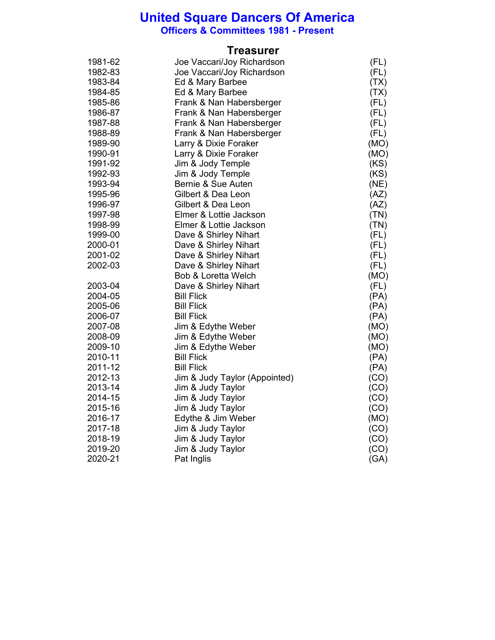**Officers & Committees 1981 - Present**

#### **Treasurer**

| 1981-62 | Joe Vaccari/Joy Richardson     | (FL) |
|---------|--------------------------------|------|
| 1982-83 | Joe Vaccari/Joy Richardson     | (FL) |
| 1983-84 | Ed & Mary Barbee               | (TX) |
| 1984-85 | Ed & Mary Barbee               | (TX) |
| 1985-86 | Frank & Nan Habersberger       | (FL) |
| 1986-87 | Frank & Nan Habersberger       | (FL) |
| 1987-88 | Frank & Nan Habersberger       | (FL) |
| 1988-89 | Frank & Nan Habersberger       | (FL) |
| 1989-90 | Larry & Dixie Foraker          | (MO) |
| 1990-91 | Larry & Dixie Foraker          | (MO) |
| 1991-92 | Jim & Jody Temple              | (KS) |
| 1992-93 | Jim & Jody Temple              | (KS) |
| 1993-94 | Bernie & Sue Auten             | (NE) |
| 1995-96 | Gilbert & Dea Leon             | (AZ) |
| 1996-97 | Gilbert & Dea Leon             | (AZ) |
| 1997-98 | Elmer & Lottie Jackson         | (TN) |
| 1998-99 | Elmer & Lottie Jackson         | (TN) |
| 1999-00 | Dave & Shirley Nihart          | (FL) |
| 2000-01 | Dave & Shirley Nihart          | (FL) |
| 2001-02 | Dave & Shirley Nihart          | (FL) |
| 2002-03 | Dave & Shirley Nihart          | (FL) |
|         | <b>Bob &amp; Loretta Welch</b> | (MO) |
| 2003-04 | Dave & Shirley Nihart          | (FL) |
| 2004-05 | <b>Bill Flick</b>              | (PA) |
| 2005-06 | <b>Bill Flick</b>              | (PA) |
| 2006-07 | <b>Bill Flick</b>              | (PA) |
| 2007-08 | Jim & Edythe Weber             | (MO) |
| 2008-09 | Jim & Edythe Weber             | (MO) |
| 2009-10 | Jim & Edythe Weber             | (MO) |
| 2010-11 | <b>Bill Flick</b>              | (PA) |
| 2011-12 | <b>Bill Flick</b>              | (PA) |
| 2012-13 | Jim & Judy Taylor (Appointed)  | (CO) |
| 2013-14 | Jim & Judy Taylor              | (CO) |
| 2014-15 | Jim & Judy Taylor              | (CO) |
| 2015-16 | Jim & Judy Taylor              | (CO) |
| 2016-17 | Edythe & Jim Weber             | (MO) |
| 2017-18 | Jim & Judy Taylor              | (CO) |
| 2018-19 | Jim & Judy Taylor              | (CO) |
| 2019-20 | Jim & Judy Taylor              | (CO) |
| 2020-21 | Pat Inglis                     | (GA) |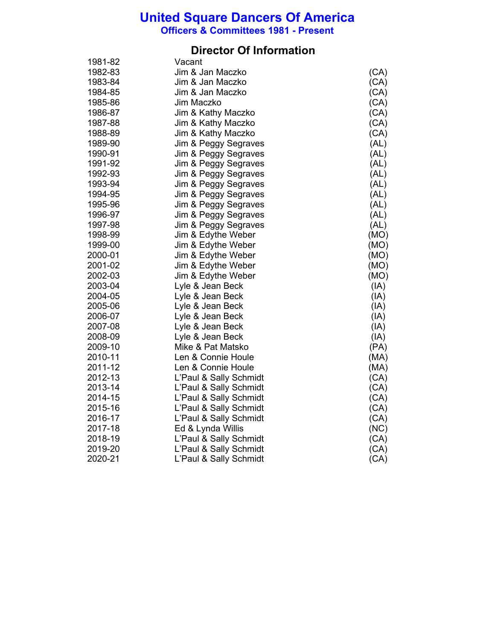**Officers & Committees 1981 - Present**

## **Director Of Information**

| 1981-82 | Vacant                 |      |
|---------|------------------------|------|
| 1982-83 | Jim & Jan Maczko       | (CA) |
| 1983-84 | Jim & Jan Maczko       | (CA) |
| 1984-85 | Jim & Jan Maczko       | (CA) |
| 1985-86 | Jim Maczko             | (CA) |
| 1986-87 | Jim & Kathy Maczko     | (CA) |
| 1987-88 | Jim & Kathy Maczko     | (CA) |
| 1988-89 | Jim & Kathy Maczko     | (CA) |
| 1989-90 | Jim & Peggy Segraves   | (AL) |
| 1990-91 | Jim & Peggy Segraves   | (AL) |
| 1991-92 | Jim & Peggy Segraves   | (AL) |
| 1992-93 | Jim & Peggy Segraves   | (AL) |
| 1993-94 | Jim & Peggy Segraves   | (AL) |
| 1994-95 | Jim & Peggy Segraves   | (AL) |
| 1995-96 | Jim & Peggy Segraves   | (AL) |
| 1996-97 | Jim & Peggy Segraves   | (AL) |
| 1997-98 | Jim & Peggy Segraves   | (AL) |
| 1998-99 | Jim & Edythe Weber     | (MO) |
| 1999-00 | Jim & Edythe Weber     | (MO) |
| 2000-01 | Jim & Edythe Weber     | (MO) |
| 2001-02 | Jim & Edythe Weber     | (MO) |
| 2002-03 | Jim & Edythe Weber     | (MO) |
| 2003-04 | Lyle & Jean Beck       | (IA) |
| 2004-05 | Lyle & Jean Beck       | (IA) |
| 2005-06 | Lyle & Jean Beck       | (IA) |
| 2006-07 | Lyle & Jean Beck       | (A)  |
| 2007-08 | Lyle & Jean Beck       | (IA) |
| 2008-09 | Lyle & Jean Beck       | (IA) |
| 2009-10 | Mike & Pat Matsko      | (PA) |
| 2010-11 | Len & Connie Houle     | (MA) |
| 2011-12 | Len & Connie Houle     | (MA) |
| 2012-13 | L'Paul & Sally Schmidt | (CA) |
| 2013-14 | L'Paul & Sally Schmidt | (CA) |
| 2014-15 | L'Paul & Sally Schmidt | (CA) |
| 2015-16 | L'Paul & Sally Schmidt | (CA) |
| 2016-17 | L'Paul & Sally Schmidt | (CA) |
| 2017-18 | Ed & Lynda Willis      | (NC) |
| 2018-19 | L'Paul & Sally Schmidt | (CA) |
| 2019-20 | L'Paul & Sally Schmidt | (CA) |
| 2020-21 | L'Paul & Sally Schmidt | (CA) |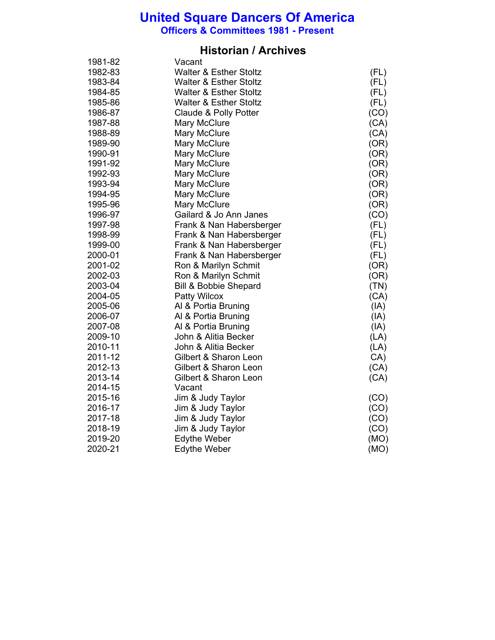**Officers & Committees 1981 - Present**

### **Historian / Archives**

| 1981-82 | Vacant                            |      |
|---------|-----------------------------------|------|
| 1982-83 | <b>Walter &amp; Esther Stoltz</b> | (FL) |
| 1983-84 | <b>Walter &amp; Esther Stoltz</b> | (FL) |
| 1984-85 | <b>Walter &amp; Esther Stoltz</b> | (FL) |
| 1985-86 | <b>Walter &amp; Esther Stoltz</b> | (FL) |
| 1986-87 | Claude & Polly Potter             | (CO) |
| 1987-88 | Mary McClure                      | (CA) |
| 1988-89 | Mary McClure                      | (CA) |
| 1989-90 | Mary McClure                      | (OR) |
| 1990-91 | Mary McClure                      | (OR) |
| 1991-92 | Mary McClure                      | (OR) |
| 1992-93 | Mary McClure                      | (OR) |
| 1993-94 | Mary McClure                      | (OR) |
| 1994-95 | Mary McClure                      | (OR) |
| 1995-96 | Mary McClure                      | (OR) |
| 1996-97 | Gailard & Jo Ann Janes            | (CO) |
| 1997-98 | Frank & Nan Habersberger          | (FL) |
| 1998-99 | Frank & Nan Habersberger          | (FL) |
| 1999-00 | Frank & Nan Habersberger          | (FL) |
| 2000-01 | Frank & Nan Habersberger          | (FL) |
| 2001-02 | Ron & Marilyn Schmit              | (OR) |
| 2002-03 | Ron & Marilyn Schmit              | (OR) |
| 2003-04 | <b>Bill &amp; Bobbie Shepard</b>  | (TN) |
| 2004-05 | Patty Wilcox                      | (CA) |
| 2005-06 | Al & Portia Bruning               | (IA) |
| 2006-07 | Al & Portia Bruning               | (IA) |
| 2007-08 | Al & Portia Bruning               | (IA) |
| 2009-10 | John & Alitia Becker              | (LA) |
| 2010-11 | John & Alitia Becker              | (LA) |
| 2011-12 | Gilbert & Sharon Leon             | CA)  |
| 2012-13 | Gilbert & Sharon Leon             | (CA) |
| 2013-14 | Gilbert & Sharon Leon             | (CA) |
| 2014-15 | Vacant                            |      |
| 2015-16 | Jim & Judy Taylor                 | (CO) |
| 2016-17 | Jim & Judy Taylor                 | (CO) |
| 2017-18 | Jim & Judy Taylor                 | (CO) |
| 2018-19 | Jim & Judy Taylor                 | (CO) |
| 2019-20 | <b>Edythe Weber</b>               | (MO) |
| 2020-21 | <b>Edythe Weber</b>               | (MO) |
|         |                                   |      |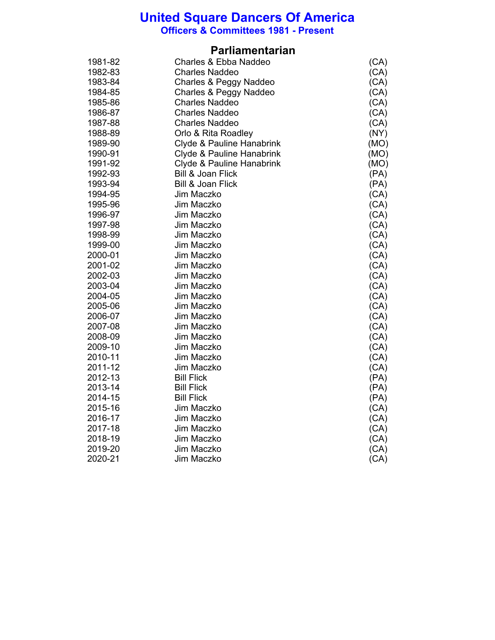**Officers & Committees 1981 - Present**

### **Parliamentarian**

| 1981-82 | Charles & Ebba Naddeo        | (CA) |
|---------|------------------------------|------|
| 1982-83 | <b>Charles Naddeo</b>        | (CA) |
| 1983-84 | Charles & Peggy Naddeo       | (CA) |
| 1984-85 | Charles & Peggy Naddeo       | (CA) |
| 1985-86 | <b>Charles Naddeo</b>        | (CA) |
| 1986-87 | <b>Charles Naddeo</b>        | (CA) |
| 1987-88 | <b>Charles Naddeo</b>        | (CA) |
| 1988-89 | Orlo & Rita Roadley          | (NY) |
| 1989-90 | Clyde & Pauline Hanabrink    | (MO) |
| 1990-91 | Clyde & Pauline Hanabrink    | (MO) |
| 1991-92 | Clyde & Pauline Hanabrink    | (MO) |
| 1992-93 | <b>Bill &amp; Joan Flick</b> | (PA) |
| 1993-94 | <b>Bill &amp; Joan Flick</b> | (PA) |
| 1994-95 | Jim Maczko                   | (CA) |
| 1995-96 | Jim Maczko                   | (CA) |
| 1996-97 | Jim Maczko                   | (CA) |
| 1997-98 | Jim Maczko                   | (CA) |
| 1998-99 | Jim Maczko                   | (CA) |
| 1999-00 | Jim Maczko                   | (CA) |
| 2000-01 | Jim Maczko                   | (CA) |
| 2001-02 | Jim Maczko                   | (CA) |
| 2002-03 | Jim Maczko                   | (CA) |
| 2003-04 | Jim Maczko                   | (CA) |
| 2004-05 | Jim Maczko                   | (CA) |
| 2005-06 | Jim Maczko                   | (CA) |
| 2006-07 | Jim Maczko                   | (CA) |
| 2007-08 | Jim Maczko                   | (CA) |
| 2008-09 | Jim Maczko                   | (CA) |
| 2009-10 | Jim Maczko                   | (CA) |
| 2010-11 | Jim Maczko                   | (CA) |
| 2011-12 | Jim Maczko                   | (CA) |
| 2012-13 | <b>Bill Flick</b>            | (PA) |
| 2013-14 | <b>Bill Flick</b>            | (PA) |
| 2014-15 | <b>Bill Flick</b>            | (PA) |
| 2015-16 | Jim Maczko                   | (CA) |
| 2016-17 | Jim Maczko                   | (CA) |
| 2017-18 | Jim Maczko                   | (CA) |
| 2018-19 | Jim Maczko                   | (CA) |
| 2019-20 | Jim Maczko                   | (CA) |
| 2020-21 | Jim Maczko                   | (CA) |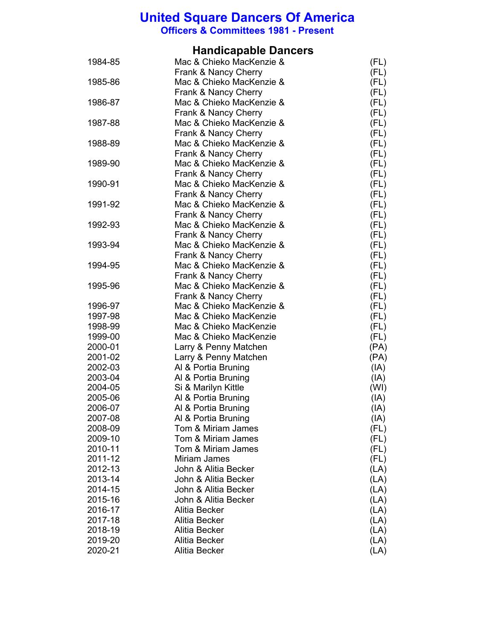**Officers & Committees 1981 - Present**

## **Handicapable Dancers**

| 1984-85            | Mac & Chieko MacKenzie &                         | (FL)         |
|--------------------|--------------------------------------------------|--------------|
|                    | Frank & Nancy Cherry                             | (FL)         |
| 1985-86            | Mac & Chieko MacKenzie &<br>Frank & Nancy Cherry | (FL)<br>(FL) |
| 1986-87            | Mac & Chieko MacKenzie &                         | (FL)         |
|                    | Frank & Nancy Cherry                             | (FL)         |
| 1987-88            | Mac & Chieko MacKenzie &                         | (FL)         |
|                    | Frank & Nancy Cherry                             | (FL)         |
| 1988-89            | Mac & Chieko MacKenzie &                         | (FL)         |
|                    | Frank & Nancy Cherry                             | (FL)         |
| 1989-90            | Mac & Chieko MacKenzie &                         | (FL)         |
|                    | Frank & Nancy Cherry                             | (FL)         |
| 1990-91            | Mac & Chieko MacKenzie &                         | (FL)         |
|                    | Frank & Nancy Cherry                             | (FL)         |
| 1991-92            | Mac & Chieko MacKenzie &                         | (FL)         |
|                    | Frank & Nancy Cherry                             | (FL)         |
| 1992-93            | Mac & Chieko MacKenzie &                         | (FL)         |
|                    | Frank & Nancy Cherry                             | (FL)         |
| 1993-94            | Mac & Chieko MacKenzie &                         | (FL)         |
|                    | Frank & Nancy Cherry                             | (FL)         |
| 1994-95            | Mac & Chieko MacKenzie &                         | (FL)         |
|                    | Frank & Nancy Cherry                             | (FL)         |
| 1995-96            | Mac & Chieko MacKenzie &                         | (FL)         |
|                    | Frank & Nancy Cherry                             | (FL)         |
| 1996-97            | Mac & Chieko MacKenzie &                         | (FL)         |
| 1997-98            | Mac & Chieko MacKenzie                           | (FL)         |
| 1998-99            | Mac & Chieko MacKenzie                           | (FL)         |
| 1999-00            | Mac & Chieko MacKenzie                           | (FL)         |
| 2000-01            | Larry & Penny Matchen                            | (PA)         |
| 2001-02            | Larry & Penny Matchen                            | (PA)         |
| 2002-03            | Al & Portia Bruning                              | (IA)         |
| 2003-04<br>2004-05 | Al & Portia Bruning                              | (IA)         |
| 2005-06            | Si & Marilyn Kittle<br>Al & Portia Bruning       | (WI)<br>(IA) |
| 2006-07            | Al & Portia Bruning                              | (IA)         |
| 2007-08            | Al & Portia Bruning                              | (IA)         |
| 2008-09            | Tom & Miriam James                               | (FL)         |
| 2009-10            | Tom & Miriam James                               | (FL)         |
| 2010-11            | Tom & Miriam James                               | (FL)         |
| 2011-12            | Miriam James                                     | (FL)         |
| 2012-13            | John & Alitia Becker                             | (LA)         |
| 2013-14            | John & Alitia Becker                             | (LA)         |
| 2014-15            | John & Alitia Becker                             | (LA)         |
| 2015-16            | John & Alitia Becker                             | (LA)         |
| 2016-17            | Alitia Becker                                    | (LA)         |
| 2017-18            | Alitia Becker                                    | (LA)         |
| 2018-19            | Alitia Becker                                    | (LA)         |
| 2019-20            | Alitia Becker                                    | (LA)         |
| 2020-21            | Alitia Becker                                    | (LA)         |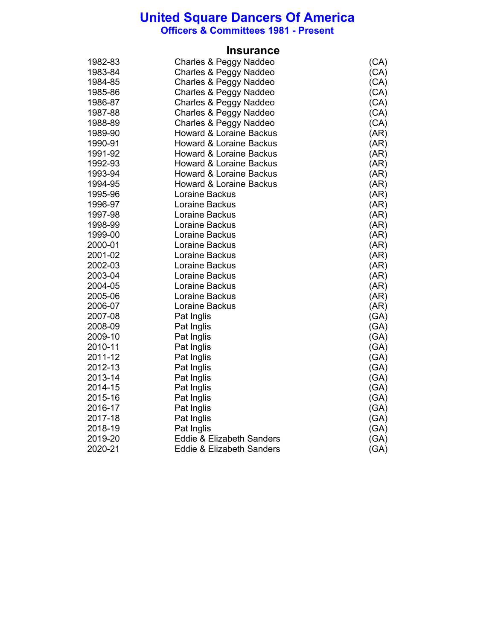**Officers & Committees 1981 - Present**

|         | <b>Insurance</b>                     |      |
|---------|--------------------------------------|------|
| 1982-83 | Charles & Peggy Naddeo               | (CA) |
| 1983-84 | Charles & Peggy Naddeo               | (CA) |
| 1984-85 | Charles & Peggy Naddeo               | (CA) |
| 1985-86 | Charles & Peggy Naddeo               | (CA) |
| 1986-87 | Charles & Peggy Naddeo               | (CA) |
| 1987-88 | Charles & Peggy Naddeo               | (CA) |
| 1988-89 | Charles & Peggy Naddeo               | (CA) |
| 1989-90 | <b>Howard &amp; Loraine Backus</b>   | (AR) |
| 1990-91 | <b>Howard &amp; Loraine Backus</b>   | (AR) |
| 1991-92 | <b>Howard &amp; Loraine Backus</b>   | (AR) |
| 1992-93 | <b>Howard &amp; Loraine Backus</b>   | (AR) |
| 1993-94 | Howard & Loraine Backus              | (AR) |
| 1994-95 | <b>Howard &amp; Loraine Backus</b>   | (AR) |
| 1995-96 | Loraine Backus                       | (AR) |
| 1996-97 | Loraine Backus                       | (AR) |
| 1997-98 | Loraine Backus                       | (AR) |
| 1998-99 | Loraine Backus                       | (AR) |
| 1999-00 | Loraine Backus                       | (AR) |
| 2000-01 | Loraine Backus                       | (AR) |
| 2001-02 | Loraine Backus                       | (AR) |
| 2002-03 | Loraine Backus                       | (AR) |
| 2003-04 | Loraine Backus                       | (AR) |
| 2004-05 | Loraine Backus                       | (AR) |
| 2005-06 | Loraine Backus                       | (AR) |
| 2006-07 | Loraine Backus                       | (AR) |
| 2007-08 | Pat Inglis                           | (GA) |
| 2008-09 | Pat Inglis                           | (GA) |
| 2009-10 | Pat Inglis                           | (GA) |
| 2010-11 | Pat Inglis                           | (GA) |
| 2011-12 | Pat Inglis                           | (GA) |
| 2012-13 | Pat Inglis                           | (GA) |
| 2013-14 | Pat Inglis                           | (GA) |
| 2014-15 | Pat Inglis                           | (GA) |
| 2015-16 | Pat Inglis                           | (GA) |
| 2016-17 | Pat Inglis                           | (GA) |
| 2017-18 | Pat Inglis                           | (GA) |
| 2018-19 | Pat Inglis                           | (GA) |
| 2019-20 | <b>Eddie &amp; Elizabeth Sanders</b> | (GA) |
| 2020-21 | <b>Eddie &amp; Elizabeth Sanders</b> | (GA) |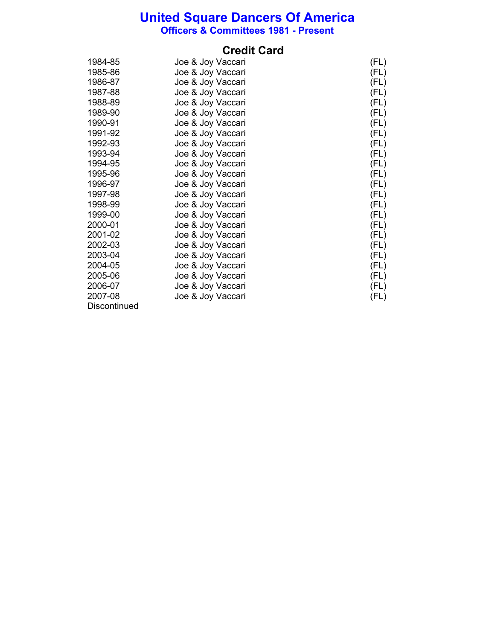**Officers & Committees 1981 - Present**

### **Credit Card**

| 1984-85      | Joe & Joy Vaccari | (FL) |
|--------------|-------------------|------|
| 1985-86      | Joe & Joy Vaccari | (FL) |
| 1986-87      | Joe & Joy Vaccari | (FL) |
| 1987-88      | Joe & Joy Vaccari | (FL) |
| 1988-89      | Joe & Joy Vaccari | (FL) |
| 1989-90      | Joe & Joy Vaccari | (FL) |
| 1990-91      | Joe & Joy Vaccari | (FL) |
| 1991-92      | Joe & Joy Vaccari | (FL) |
| 1992-93      | Joe & Joy Vaccari | (FL) |
| 1993-94      | Joe & Joy Vaccari | (FL) |
| 1994-95      | Joe & Joy Vaccari | (FL) |
| 1995-96      | Joe & Joy Vaccari | (FL) |
| 1996-97      | Joe & Joy Vaccari | (FL) |
| 1997-98      | Joe & Joy Vaccari | (FL) |
| 1998-99      | Joe & Joy Vaccari | (FL) |
| 1999-00      | Joe & Joy Vaccari | (FL) |
| 2000-01      | Joe & Joy Vaccari | (FL) |
| 2001-02      | Joe & Joy Vaccari | (FL) |
| 2002-03      | Joe & Joy Vaccari | (FL) |
| 2003-04      | Joe & Joy Vaccari | (FL) |
| 2004-05      | Joe & Joy Vaccari | (FL) |
| 2005-06      | Joe & Joy Vaccari | (FL) |
| 2006-07      | Joe & Joy Vaccari | (FL) |
| 2007-08      | Joe & Joy Vaccari | (FL) |
| Discontinued |                   |      |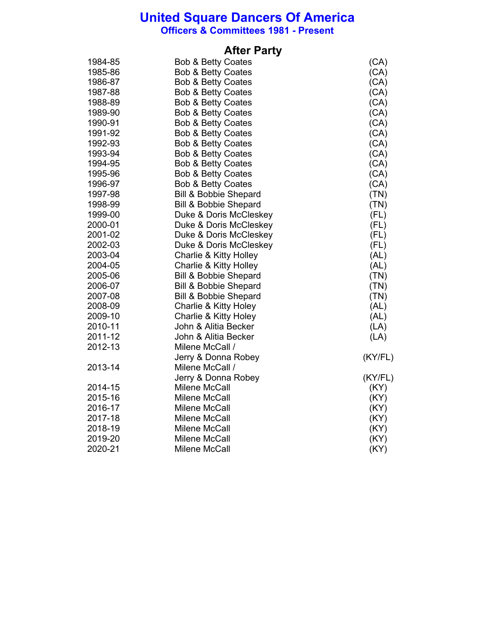**Officers & Committees 1981 - Present**

## **After Party**

| 1984-85 | <b>Bob &amp; Betty Coates</b>    | (CA)    |
|---------|----------------------------------|---------|
| 1985-86 | <b>Bob &amp; Betty Coates</b>    | (CA)    |
| 1986-87 | <b>Bob &amp; Betty Coates</b>    | (CA)    |
| 1987-88 | <b>Bob &amp; Betty Coates</b>    | (CA)    |
| 1988-89 | <b>Bob &amp; Betty Coates</b>    | (CA)    |
| 1989-90 | <b>Bob &amp; Betty Coates</b>    | (CA)    |
| 1990-91 | <b>Bob &amp; Betty Coates</b>    | (CA)    |
| 1991-92 | <b>Bob &amp; Betty Coates</b>    | (CA)    |
| 1992-93 | <b>Bob &amp; Betty Coates</b>    | (CA)    |
| 1993-94 | <b>Bob &amp; Betty Coates</b>    | (CA)    |
| 1994-95 | <b>Bob &amp; Betty Coates</b>    | (CA)    |
| 1995-96 | Bob & Betty Coates               | (CA)    |
| 1996-97 | Bob & Betty Coates               | (CA)    |
| 1997-98 | <b>Bill &amp; Bobbie Shepard</b> | (TN)    |
| 1998-99 | <b>Bill &amp; Bobbie Shepard</b> | (TN)    |
| 1999-00 | Duke & Doris McCleskey           | (FL)    |
| 2000-01 | Duke & Doris McCleskey           | (FL)    |
| 2001-02 | Duke & Doris McCleskey           | (FL)    |
| 2002-03 | Duke & Doris McCleskey           | (FL)    |
| 2003-04 | Charlie & Kitty Holley           | (AL)    |
| 2004-05 | Charlie & Kitty Holley           | (AL)    |
| 2005-06 | <b>Bill &amp; Bobbie Shepard</b> | (TN)    |
| 2006-07 | <b>Bill &amp; Bobbie Shepard</b> | (TN)    |
| 2007-08 | <b>Bill &amp; Bobbie Shepard</b> | (TN)    |
| 2008-09 | <b>Charlie &amp; Kitty Holey</b> | (AL)    |
| 2009-10 | Charlie & Kitty Holey            | (AL)    |
| 2010-11 | John & Alitia Becker             | (LA)    |
| 2011-12 | John & Alitia Becker             | (LA)    |
| 2012-13 | Milene McCall /                  |         |
|         | Jerry & Donna Robey              | (KY/FL) |
| 2013-14 | Milene McCall /                  |         |
|         | Jerry & Donna Robey              | (KY/FL) |
| 2014-15 | <b>Milene McCall</b>             | (KY)    |
| 2015-16 | Milene McCall                    | (KY)    |
| 2016-17 | Milene McCall                    | (KY)    |
| 2017-18 | Milene McCall                    | (KY)    |
| 2018-19 | Milene McCall                    | (KY)    |
| 2019-20 | Milene McCall                    | (KY)    |
| 2020-21 | Milene McCall                    | (KY)    |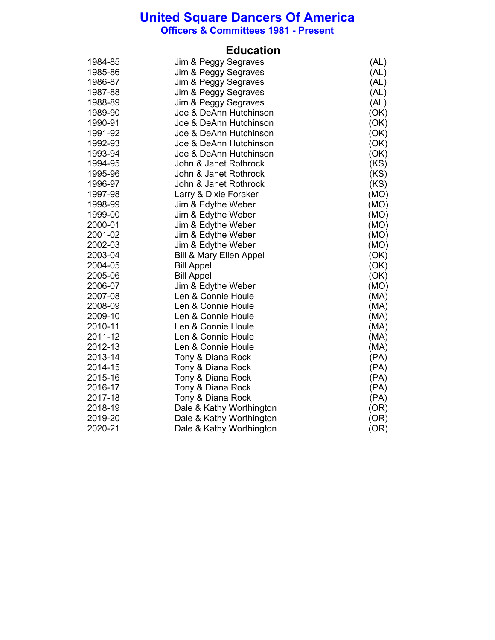**Officers & Committees 1981 - Present**

### **Education**

| 1984-85 | Jim & Peggy Segraves               | (AL) |
|---------|------------------------------------|------|
| 1985-86 | Jim & Peggy Segraves               | (AL) |
| 1986-87 | Jim & Peggy Segraves               | (AL) |
| 1987-88 | Jim & Peggy Segraves               | (AL) |
| 1988-89 | Jim & Peggy Segraves               | (AL) |
| 1989-90 | Joe & DeAnn Hutchinson             | (OK) |
| 1990-91 | Joe & DeAnn Hutchinson             | (OK) |
| 1991-92 | Joe & DeAnn Hutchinson             | (OK) |
| 1992-93 | Joe & DeAnn Hutchinson             | (OK) |
| 1993-94 | Joe & DeAnn Hutchinson             | (OK) |
| 1994-95 | John & Janet Rothrock              | (KS) |
| 1995-96 | John & Janet Rothrock              | (KS) |
| 1996-97 | John & Janet Rothrock              | (KS) |
| 1997-98 | Larry & Dixie Foraker              | (MO) |
| 1998-99 | Jim & Edythe Weber                 | (MO) |
| 1999-00 | Jim & Edythe Weber                 | (MO) |
| 2000-01 | Jim & Edythe Weber                 | (MO) |
| 2001-02 | Jim & Edythe Weber                 | (MO) |
| 2002-03 | Jim & Edythe Weber                 | (MO) |
| 2003-04 | <b>Bill &amp; Mary Ellen Appel</b> | (OK) |
| 2004-05 | <b>Bill Appel</b>                  | (OK) |
| 2005-06 | <b>Bill Appel</b>                  | (OK) |
| 2006-07 | Jim & Edythe Weber                 | (MO) |
| 2007-08 | Len & Connie Houle                 | (MA) |
| 2008-09 | Len & Connie Houle                 | (MA) |
| 2009-10 | Len & Connie Houle                 | (MA) |
| 2010-11 | Len & Connie Houle                 | (MA) |
| 2011-12 | Len & Connie Houle                 | (MA) |
| 2012-13 | Len & Connie Houle                 | (MA) |
| 2013-14 | Tony & Diana Rock                  | (PA) |
| 2014-15 | Tony & Diana Rock                  | (PA) |
| 2015-16 | Tony & Diana Rock                  | (PA) |
| 2016-17 | Tony & Diana Rock                  | (PA) |
| 2017-18 | Tony & Diana Rock                  | (PA) |
| 2018-19 | Dale & Kathy Worthington           | (OR) |
| 2019-20 | Dale & Kathy Worthington           | (OR) |
| 2020-21 | Dale & Kathy Worthington           | (OR) |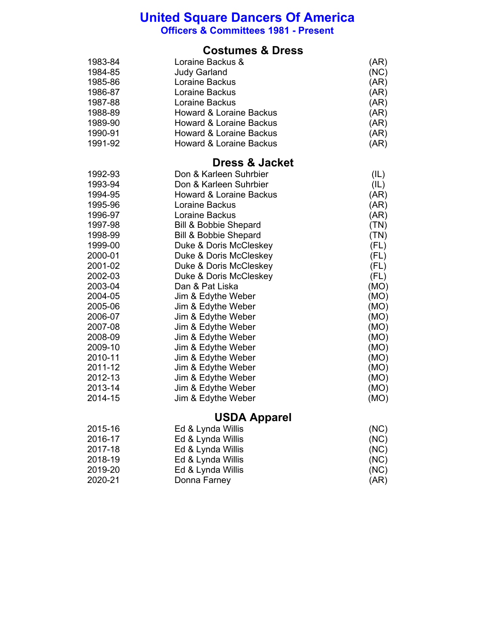**Officers & Committees 1981 - Present**

### **Costumes & Dress**

| 1983-84 | Loraine Backus &                   | (AR) |
|---------|------------------------------------|------|
| 1984-85 | <b>Judy Garland</b>                | (NC) |
| 1985-86 | Loraine Backus                     | (AR) |
| 1986-87 | Loraine Backus                     | (AR) |
| 1987-88 | Loraine Backus                     | (AR) |
| 1988-89 | <b>Howard &amp; Loraine Backus</b> | (AR) |
| 1989-90 | <b>Howard &amp; Loraine Backus</b> | (AR) |
| 1990-91 | <b>Howard &amp; Loraine Backus</b> | (AR) |
| 1991-92 | <b>Howard &amp; Loraine Backus</b> | (AR) |

## **Dress & Jacket**

| 1992-93 | Don & Karleen Suhrbier             | (IL) |
|---------|------------------------------------|------|
| 1993-94 | Don & Karleen Suhrbier             | (IL) |
| 1994-95 | <b>Howard &amp; Loraine Backus</b> | (AR) |
| 1995-96 | Loraine Backus                     | (AR) |
| 1996-97 | Loraine Backus                     | (AR) |
| 1997-98 | Bill & Bobbie Shepard              | (TN) |
| 1998-99 | <b>Bill &amp; Bobbie Shepard</b>   | (TN) |
| 1999-00 | Duke & Doris McCleskey             | (FL) |
| 2000-01 | Duke & Doris McCleskey             | (FL) |
| 2001-02 | Duke & Doris McCleskey             | (FL) |
| 2002-03 | Duke & Doris McCleskey             | (FL) |
| 2003-04 | Dan & Pat Liska                    | (MO) |
| 2004-05 | Jim & Edythe Weber                 | (MO) |
| 2005-06 | Jim & Edythe Weber                 | (MO) |
| 2006-07 | Jim & Edythe Weber                 | (MO) |
| 2007-08 | Jim & Edythe Weber                 | (MO) |
| 2008-09 | Jim & Edythe Weber                 | (MO) |
| 2009-10 | Jim & Edythe Weber                 | (MO) |
| 2010-11 | Jim & Edythe Weber                 | (MO) |
| 2011-12 | Jim & Edythe Weber                 | (MO) |
| 2012-13 | Jim & Edythe Weber                 | (MO) |
| 2013-14 | Jim & Edythe Weber                 | (MO) |
| 2014-15 | Jim & Edythe Weber                 | (MO) |
|         |                                    |      |

## **USDA Apparel**

| 2015-16 | Ed & Lynda Willis | (NC) |
|---------|-------------------|------|
| 2016-17 | Ed & Lynda Willis | (NC) |
| 2017-18 | Ed & Lynda Willis | (NC) |
| 2018-19 | Ed & Lynda Willis | (NC) |
| 2019-20 | Ed & Lynda Willis | (NC) |
| 2020-21 | Donna Farney      | (AR) |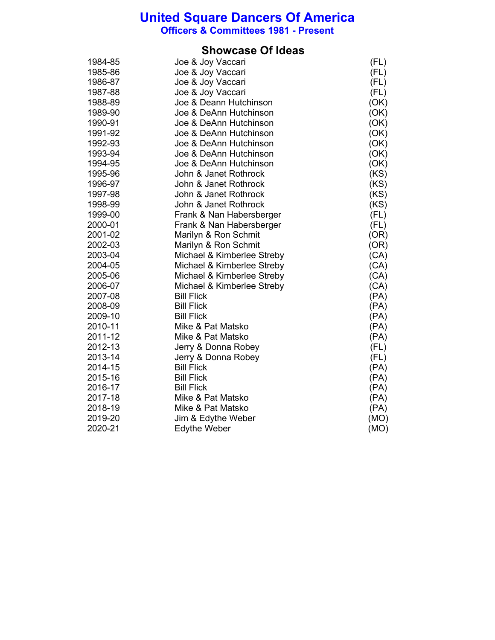**Officers & Committees 1981 - Present**

#### **Showcase Of Ideas**

| 1984-85 | Joe & Joy Vaccari          | (FL) |
|---------|----------------------------|------|
| 1985-86 | Joe & Joy Vaccari          | (FL) |
| 1986-87 | Joe & Joy Vaccari          | (FL) |
| 1987-88 | Joe & Joy Vaccari          | (FL) |
| 1988-89 | Joe & Deann Hutchinson     | (OK) |
| 1989-90 | Joe & DeAnn Hutchinson     | (OK) |
| 1990-91 | Joe & DeAnn Hutchinson     | (OK) |
| 1991-92 | Joe & DeAnn Hutchinson     | (OK) |
| 1992-93 | Joe & DeAnn Hutchinson     | (OK) |
| 1993-94 | Joe & DeAnn Hutchinson     | (OK) |
| 1994-95 | Joe & DeAnn Hutchinson     | (OK) |
| 1995-96 | John & Janet Rothrock      | (KS) |
| 1996-97 | John & Janet Rothrock      | (KS) |
| 1997-98 | John & Janet Rothrock      | (KS) |
| 1998-99 | John & Janet Rothrock      | (KS) |
| 1999-00 | Frank & Nan Habersberger   | (FL) |
| 2000-01 | Frank & Nan Habersberger   | (FL) |
| 2001-02 | Marilyn & Ron Schmit       | (OR) |
| 2002-03 | Marilyn & Ron Schmit       | (OR) |
| 2003-04 | Michael & Kimberlee Streby | (CA) |
| 2004-05 | Michael & Kimberlee Streby | (CA) |
| 2005-06 | Michael & Kimberlee Streby | (CA) |
| 2006-07 | Michael & Kimberlee Streby | (CA) |
| 2007-08 | <b>Bill Flick</b>          | (PA) |
| 2008-09 | <b>Bill Flick</b>          | (PA) |
| 2009-10 | <b>Bill Flick</b>          | (PA) |
| 2010-11 | Mike & Pat Matsko          | (PA) |
| 2011-12 | Mike & Pat Matsko          | (PA) |
| 2012-13 | Jerry & Donna Robey        | (FL) |
| 2013-14 | Jerry & Donna Robey        | (FL) |
| 2014-15 | <b>Bill Flick</b>          | (PA) |
| 2015-16 | <b>Bill Flick</b>          | (PA) |
| 2016-17 | <b>Bill Flick</b>          | (PA) |
| 2017-18 | Mike & Pat Matsko          | (PA) |
| 2018-19 | Mike & Pat Matsko          | (PA) |
| 2019-20 | Jim & Edythe Weber         | (MO) |
| 2020-21 | <b>Edythe Weber</b>        | (MO) |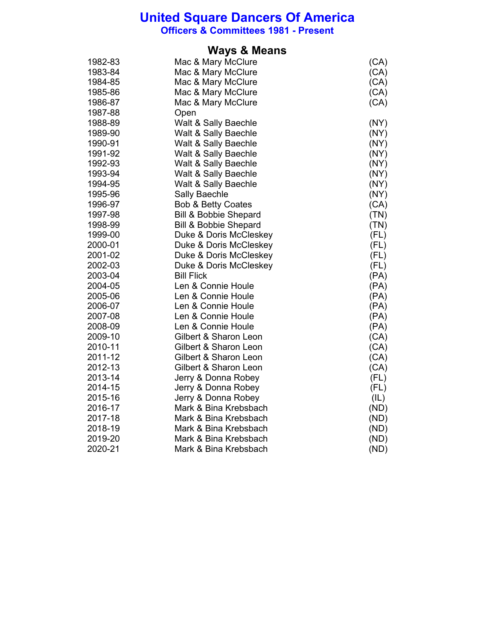**Officers & Committees 1981 - Present**

#### **Ways & Means**

| 1982-83 | Mac & Mary McClure               | (CA) |
|---------|----------------------------------|------|
| 1983-84 | Mac & Mary McClure               | (CA) |
| 1984-85 | Mac & Mary McClure               | (CA) |
| 1985-86 | Mac & Mary McClure               | (CA) |
| 1986-87 | Mac & Mary McClure               | (CA) |
| 1987-88 | Open                             |      |
| 1988-89 | Walt & Sally Baechle             | (NY) |
| 1989-90 | Walt & Sally Baechle             | (NY) |
| 1990-91 | Walt & Sally Baechle             | (NY) |
| 1991-92 | Walt & Sally Baechle             | (NY) |
| 1992-93 | Walt & Sally Baechle             | (NY) |
| 1993-94 | Walt & Sally Baechle             | (NY) |
| 1994-95 | Walt & Sally Baechle             | (NY) |
| 1995-96 | Sally Baechle                    | (NY) |
| 1996-97 | <b>Bob &amp; Betty Coates</b>    | (CA) |
| 1997-98 | <b>Bill &amp; Bobbie Shepard</b> | (TN) |
| 1998-99 | <b>Bill &amp; Bobbie Shepard</b> | (TN) |
| 1999-00 | Duke & Doris McCleskey           | (FL) |
| 2000-01 | Duke & Doris McCleskey           | (FL) |
| 2001-02 | Duke & Doris McCleskey           | (FL) |
| 2002-03 | Duke & Doris McCleskey           | (FL) |
| 2003-04 | <b>Bill Flick</b>                | (PA) |
| 2004-05 | Len & Connie Houle               | (PA) |
| 2005-06 | Len & Connie Houle               | (PA) |
| 2006-07 | Len & Connie Houle               | (PA) |
| 2007-08 | Len & Connie Houle               | (PA) |
| 2008-09 | Len & Connie Houle               | (PA) |
| 2009-10 | Gilbert & Sharon Leon            | (CA) |
| 2010-11 | Gilbert & Sharon Leon            | (CA) |
| 2011-12 | Gilbert & Sharon Leon            | (CA) |
| 2012-13 | Gilbert & Sharon Leon            | (CA) |
| 2013-14 | Jerry & Donna Robey              | (FL) |
| 2014-15 | Jerry & Donna Robey              | (FL) |
| 2015-16 | Jerry & Donna Robey              | (IL) |
| 2016-17 | Mark & Bina Krebsbach            | (ND) |
| 2017-18 | Mark & Bina Krebsbach            | (ND) |
| 2018-19 | Mark & Bina Krebsbach            | (ND) |
| 2019-20 | Mark & Bina Krebsbach            | (ND) |
| 2020-21 | Mark & Bina Krebsbach            | (ND) |
|         |                                  |      |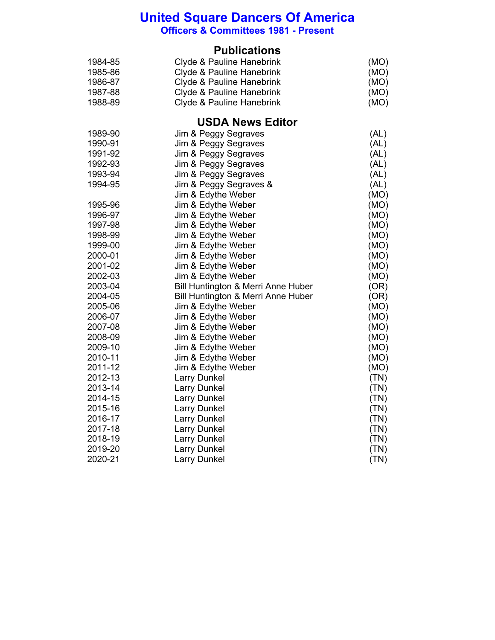**Officers & Committees 1981 - Present**

#### **Publications**

| 1984-85 | Clyde & Pauline Hanebrink | (MO) |
|---------|---------------------------|------|
| 1985-86 | Clyde & Pauline Hanebrink | (MO) |
| 1986-87 | Clyde & Pauline Hanebrink | (MO) |
| 1987-88 | Clyde & Pauline Hanebrink | (MO) |
| 1988-89 | Clyde & Pauline Hanebrink | (MO) |

### **USDA News Editor**

| 1989-90 | Jim & Peggy Segraves               | (AL) |
|---------|------------------------------------|------|
| 1990-91 | Jim & Peggy Segraves               | (AL) |
| 1991-92 | Jim & Peggy Segraves               | (AL) |
| 1992-93 | Jim & Peggy Segraves               | (AL) |
| 1993-94 | Jim & Peggy Segraves               | (AL) |
| 1994-95 | Jim & Peggy Segraves &             | (AL) |
|         | Jim & Edythe Weber                 | (MO) |
| 1995-96 | Jim & Edythe Weber                 | (MO) |
| 1996-97 | Jim & Edythe Weber                 | (MO) |
| 1997-98 | Jim & Edythe Weber                 | (MO) |
| 1998-99 | Jim & Edythe Weber                 | (MO) |
| 1999-00 | Jim & Edythe Weber                 | (MO) |
| 2000-01 | Jim & Edythe Weber                 | (MO) |
| 2001-02 | Jim & Edythe Weber                 | (MO) |
| 2002-03 | Jim & Edythe Weber                 | (MO) |
| 2003-04 | Bill Huntington & Merri Anne Huber | (OR) |
| 2004-05 | Bill Huntington & Merri Anne Huber | (OR) |
| 2005-06 | Jim & Edythe Weber                 | (MO) |
| 2006-07 | Jim & Edythe Weber                 | (MO) |
| 2007-08 | Jim & Edythe Weber                 | (MO) |
| 2008-09 | Jim & Edythe Weber                 | (MO) |
| 2009-10 | Jim & Edythe Weber                 | (MO) |
| 2010-11 | Jim & Edythe Weber                 | (MO) |
| 2011-12 | Jim & Edythe Weber                 | (MO) |
| 2012-13 | <b>Larry Dunkel</b>                | (TN) |
| 2013-14 | <b>Larry Dunkel</b>                | (TN) |
| 2014-15 | <b>Larry Dunkel</b>                | (TN) |
| 2015-16 | <b>Larry Dunkel</b>                | (TN) |
| 2016-17 | <b>Larry Dunkel</b>                | (TN) |
| 2017-18 | <b>Larry Dunkel</b>                | (TN) |
| 2018-19 | <b>Larry Dunkel</b>                | (TN) |
| 2019-20 | <b>Larry Dunkel</b>                | (TN) |
| 2020-21 | <b>Larry Dunkel</b>                | (TN) |
|         |                                    |      |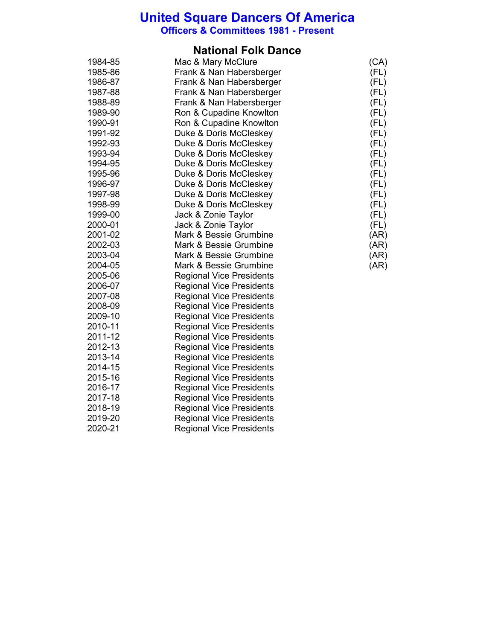**Officers & Committees 1981 - Present**

### **National Folk Dance**

| 1984-85 | Mac & Mary McClure              | (CA) |
|---------|---------------------------------|------|
| 1985-86 | Frank & Nan Habersberger        | (FL) |
| 1986-87 | Frank & Nan Habersberger        | (FL) |
| 1987-88 | Frank & Nan Habersberger        | (FL) |
| 1988-89 | Frank & Nan Habersberger        | (FL) |
| 1989-90 | Ron & Cupadine Knowlton         | (FL) |
| 1990-91 | Ron & Cupadine Knowlton         | (FL) |
| 1991-92 | Duke & Doris McCleskey          | (FL) |
| 1992-93 | Duke & Doris McCleskey          | (FL) |
| 1993-94 | Duke & Doris McCleskey          | (FL) |
| 1994-95 | Duke & Doris McCleskey          | (FL) |
| 1995-96 | Duke & Doris McCleskey          | (FL) |
| 1996-97 | Duke & Doris McCleskey          | (FL) |
| 1997-98 | Duke & Doris McCleskey          | (FL) |
| 1998-99 | Duke & Doris McCleskey          | (FL) |
| 1999-00 | Jack & Zonie Taylor             | (FL) |
| 2000-01 | Jack & Zonie Taylor             | (FL) |
| 2001-02 | Mark & Bessie Grumbine          | (AR) |
| 2002-03 | Mark & Bessie Grumbine          | (AR) |
| 2003-04 | Mark & Bessie Grumbine          | (AR) |
| 2004-05 | Mark & Bessie Grumbine          | (AR) |
| 2005-06 | <b>Regional Vice Presidents</b> |      |
| 2006-07 | <b>Regional Vice Presidents</b> |      |
| 2007-08 | <b>Regional Vice Presidents</b> |      |
| 2008-09 | <b>Regional Vice Presidents</b> |      |
| 2009-10 | <b>Regional Vice Presidents</b> |      |
| 2010-11 | <b>Regional Vice Presidents</b> |      |
| 2011-12 | <b>Regional Vice Presidents</b> |      |
| 2012-13 | <b>Regional Vice Presidents</b> |      |
| 2013-14 | <b>Regional Vice Presidents</b> |      |
| 2014-15 | <b>Regional Vice Presidents</b> |      |
| 2015-16 | <b>Regional Vice Presidents</b> |      |
| 2016-17 | <b>Regional Vice Presidents</b> |      |
| 2017-18 | <b>Regional Vice Presidents</b> |      |
| 2018-19 | <b>Regional Vice Presidents</b> |      |
| 2019-20 | <b>Regional Vice Presidents</b> |      |
| 2020-21 | <b>Regional Vice Presidents</b> |      |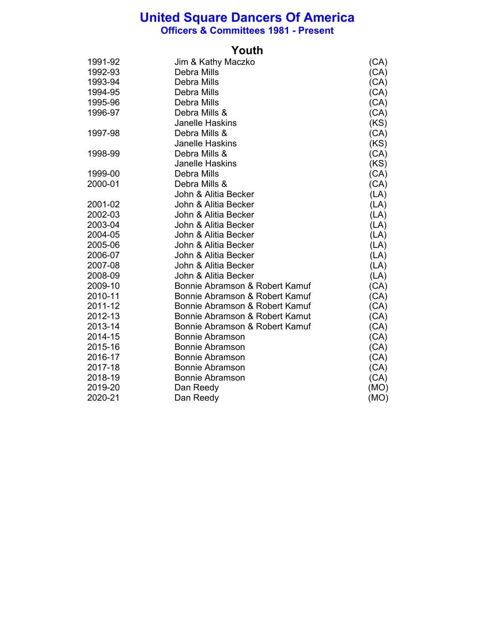**Officers & Committees 1981 - Present**

### **Youth**

| 1991-92 | Jim & Kathy Maczko             | (CA) |
|---------|--------------------------------|------|
| 1992-93 | Debra Mills                    | (CA) |
| 1993-94 | Debra Mills                    | (CA) |
| 1994-95 | Debra Mills                    | (CA) |
| 1995-96 | Debra Mills                    | (CA) |
| 1996-97 | Debra Mills &                  | (CA) |
|         | <b>Janelle Haskins</b>         | (KS) |
| 1997-98 | Debra Mills &                  | (CA) |
|         | <b>Janelle Haskins</b>         | (KS) |
| 1998-99 | Debra Mills &                  | (CA) |
|         | <b>Janelle Haskins</b>         | (KS) |
| 1999-00 | Debra Mills                    | (CA) |
| 2000-01 | Debra Mills &                  | (CA) |
|         | John & Alitia Becker           | (LA) |
| 2001-02 | John & Alitia Becker           | (LA) |
| 2002-03 | John & Alitia Becker           | (LA) |
| 2003-04 | John & Alitia Becker           | (LA) |
| 2004-05 | John & Alitia Becker           | (LA) |
| 2005-06 | John & Alitia Becker           | (LA) |
| 2006-07 | John & Alitia Becker           | (LA) |
| 2007-08 | John & Alitia Becker           | (LA) |
| 2008-09 | John & Alitia Becker           | (LA) |
| 2009-10 | Bonnie Abramson & Robert Kamuf | (CA) |
| 2010-11 | Bonnie Abramson & Robert Kamuf | (CA) |
| 2011-12 | Bonnie Abramson & Robert Kamuf | (CA) |
| 2012-13 | Bonnie Abramson & Robert Kamut | (CA) |
| 2013-14 | Bonnie Abramson & Robert Kamuf | (CA) |
| 2014-15 | <b>Bonnie Abramson</b>         | (CA) |
| 2015-16 | <b>Bonnie Abramson</b>         | (CA) |
| 2016-17 | <b>Bonnie Abramson</b>         | (CA) |
| 2017-18 | <b>Bonnie Abramson</b>         | (CA) |
| 2018-19 | <b>Bonnie Abramson</b>         | (CA) |
| 2019-20 | Dan Reedy                      | (MO) |
| 2020-21 | Dan Reedy                      | (MO) |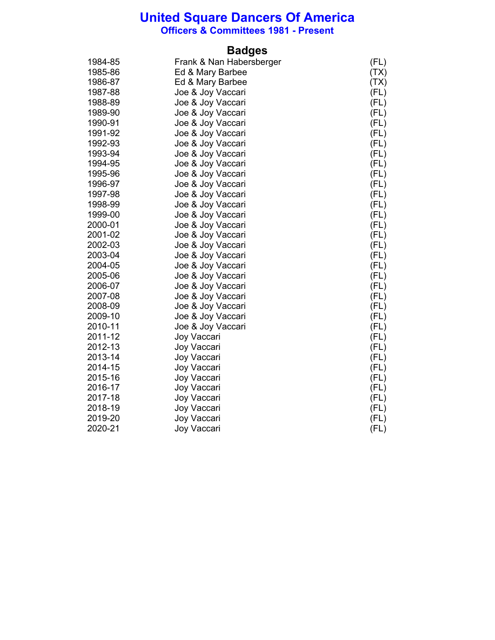**Officers & Committees 1981 - Present**

## **Badges**

| 1984-85 | Frank & Nan Habersberger | (FL) |
|---------|--------------------------|------|
| 1985-86 | Ed & Mary Barbee         | (TX) |
| 1986-87 | Ed & Mary Barbee         | (TX) |
| 1987-88 | Joe & Joy Vaccari        | (FL) |
| 1988-89 | Joe & Joy Vaccari        | (FL) |
| 1989-90 | Joe & Joy Vaccari        | (FL) |
| 1990-91 | Joe & Joy Vaccari        | (FL) |
| 1991-92 | Joe & Joy Vaccari        | (FL) |
| 1992-93 | Joe & Joy Vaccari        | (FL) |
| 1993-94 | Joe & Joy Vaccari        | (FL) |
| 1994-95 | Joe & Joy Vaccari        | (FL) |
| 1995-96 | Joe & Joy Vaccari        | (FL) |
| 1996-97 | Joe & Joy Vaccari        | (FL) |
| 1997-98 | Joe & Joy Vaccari        | (FL) |
| 1998-99 | Joe & Joy Vaccari        | (FL) |
| 1999-00 | Joe & Joy Vaccari        | (FL) |
| 2000-01 | Joe & Joy Vaccari        | (FL) |
| 2001-02 | Joe & Joy Vaccari        | (FL) |
| 2002-03 | Joe & Joy Vaccari        | (FL) |
| 2003-04 | Joe & Joy Vaccari        | (FL) |
| 2004-05 | Joe & Joy Vaccari        | (FL) |
| 2005-06 | Joe & Joy Vaccari        | (FL) |
| 2006-07 | Joe & Joy Vaccari        | (FL) |
| 2007-08 | Joe & Joy Vaccari        | (FL) |
| 2008-09 | Joe & Joy Vaccari        | (FL) |
| 2009-10 | Joe & Joy Vaccari        | (FL) |
| 2010-11 | Joe & Joy Vaccari        | (FL) |
| 2011-12 | Joy Vaccari              | (FL) |
| 2012-13 | Joy Vaccari              | (FL) |
| 2013-14 | Joy Vaccari              | (FL) |
| 2014-15 | Joy Vaccari              | (FL) |
| 2015-16 | Joy Vaccari              | (FL) |
| 2016-17 | Joy Vaccari              | (FL) |
| 2017-18 | Joy Vaccari              | (FL) |
| 2018-19 | Joy Vaccari              | (FL) |
| 2019-20 | Joy Vaccari              | (FL) |
| 2020-21 | Joy Vaccari              | (FL) |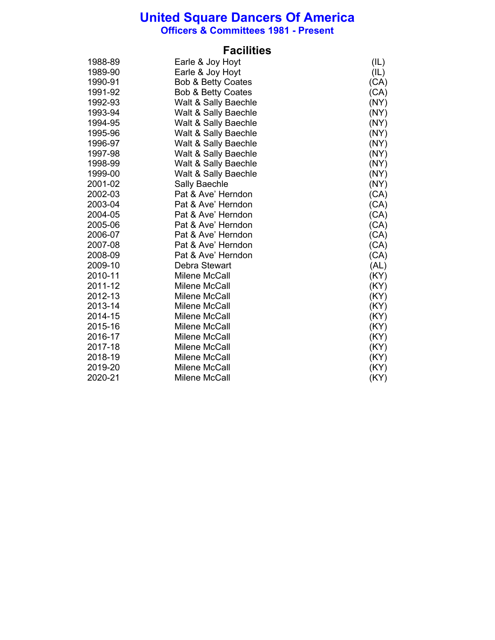**Officers & Committees 1981 - Present**

### **Facilities**

| 1988-89 | Earle & Joy Hoyt              | (IL) |
|---------|-------------------------------|------|
| 1989-90 | Earle & Joy Hoyt              | (IL) |
| 1990-91 | <b>Bob &amp; Betty Coates</b> | (CA) |
| 1991-92 | <b>Bob &amp; Betty Coates</b> | (CA) |
| 1992-93 | Walt & Sally Baechle          | (NY) |
| 1993-94 | Walt & Sally Baechle          | (NY) |
| 1994-95 | Walt & Sally Baechle          | (NY) |
| 1995-96 | Walt & Sally Baechle          | (NY) |
| 1996-97 | Walt & Sally Baechle          | (NY) |
| 1997-98 | Walt & Sally Baechle          | (NY) |
| 1998-99 | Walt & Sally Baechle          | (NY) |
| 1999-00 | Walt & Sally Baechle          | (NY) |
| 2001-02 | <b>Sally Baechle</b>          | (NY) |
| 2002-03 | Pat & Ave' Herndon            | (CA) |
| 2003-04 | Pat & Ave' Herndon            | (CA) |
| 2004-05 | Pat & Ave' Herndon            | (CA) |
| 2005-06 | Pat & Ave' Herndon            | (CA) |
| 2006-07 | Pat & Ave' Herndon            | (CA) |
| 2007-08 | Pat & Ave' Herndon            | (CA) |
| 2008-09 | Pat & Ave' Herndon            | (CA) |
| 2009-10 | Debra Stewart                 | (AL) |
| 2010-11 | Milene McCall                 | (KY) |
| 2011-12 | Milene McCall                 | (KY) |
| 2012-13 | Milene McCall                 | (KY) |
| 2013-14 | Milene McCall                 | (KY) |
| 2014-15 | Milene McCall                 | (KY) |
| 2015-16 | Milene McCall                 | (KY) |
| 2016-17 | Milene McCall                 | (KY) |
| 2017-18 | Milene McCall                 | (KY) |
| 2018-19 | Milene McCall                 | (KY) |
| 2019-20 | Milene McCall                 | (KY) |
| 2020-21 | Milene McCall                 | (KY) |
|         |                               |      |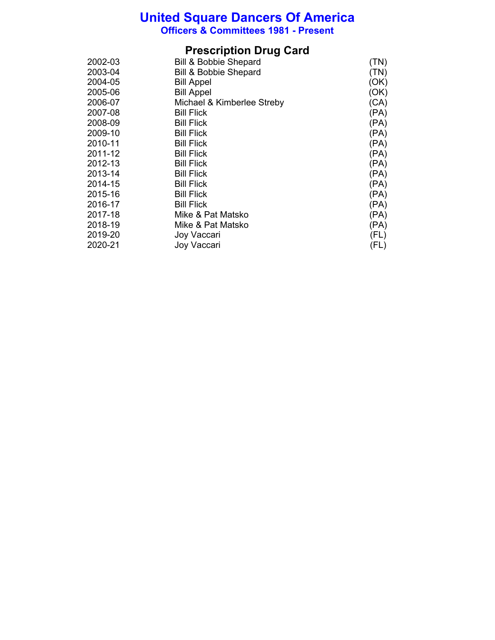**Officers & Committees 1981 - Present**

## **Prescription Drug Card**

| 2002-03 | <b>Bill &amp; Bobbie Shepard</b> | (TN) |
|---------|----------------------------------|------|
| 2003-04 | <b>Bill &amp; Bobbie Shepard</b> | (TN) |
| 2004-05 | <b>Bill Appel</b>                | (OK) |
| 2005-06 | <b>Bill Appel</b>                | (OK) |
| 2006-07 | Michael & Kimberlee Streby       | (CA) |
| 2007-08 | <b>Bill Flick</b>                | (PA) |
| 2008-09 | <b>Bill Flick</b>                | (PA) |
| 2009-10 | <b>Bill Flick</b>                | (PA) |
| 2010-11 | <b>Bill Flick</b>                | (PA) |
| 2011-12 | <b>Bill Flick</b>                | (PA) |
| 2012-13 | <b>Bill Flick</b>                | (PA) |
| 2013-14 | <b>Bill Flick</b>                | (PA) |
| 2014-15 | <b>Bill Flick</b>                | (PA) |
| 2015-16 | <b>Bill Flick</b>                | (PA) |
| 2016-17 | <b>Bill Flick</b>                | (PA) |
| 2017-18 | Mike & Pat Matsko                | (PA) |
| 2018-19 | Mike & Pat Matsko                | (PA) |
| 2019-20 | Joy Vaccari                      | (FL) |
| 2020-21 | Joy Vaccari                      | (FL) |
|         |                                  |      |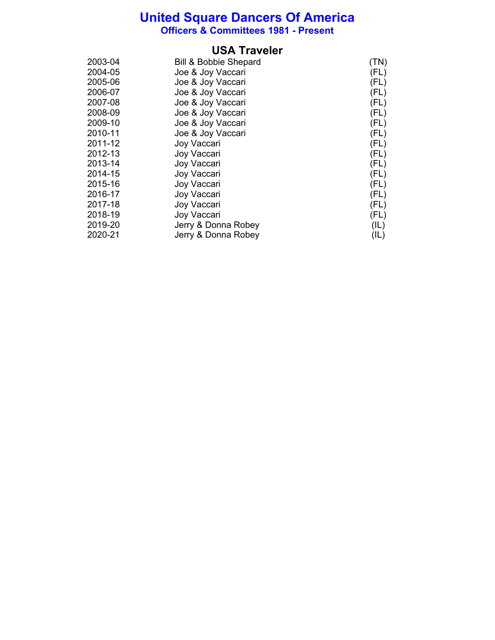**Officers & Committees 1981 - Present**

### **USA Traveler**

| 2003-04 | <b>Bill &amp; Bobbie Shepard</b> | (TN) |
|---------|----------------------------------|------|
| 2004-05 | Joe & Joy Vaccari                | (FL) |
| 2005-06 | Joe & Joy Vaccari                | (FL) |
| 2006-07 | Joe & Joy Vaccari                | (FL) |
| 2007-08 | Joe & Joy Vaccari                | (FL) |
| 2008-09 | Joe & Joy Vaccari                | (FL) |
| 2009-10 | Joe & Joy Vaccari                | (FL) |
| 2010-11 | Joe & Joy Vaccari                | (FL) |
| 2011-12 | Joy Vaccari                      | (FL) |
| 2012-13 | Joy Vaccari                      | (FL) |
| 2013-14 | Joy Vaccari                      | (FL) |
| 2014-15 | Joy Vaccari                      | (FL) |
| 2015-16 | Joy Vaccari                      | (FL) |
| 2016-17 | Joy Vaccari                      | (FL) |
| 2017-18 | Joy Vaccari                      | (FL) |
| 2018-19 | Joy Vaccari                      | (FL) |
| 2019-20 | Jerry & Donna Robey              | (IL) |
| 2020-21 | Jerry & Donna Robey              | (IL) |
|         |                                  |      |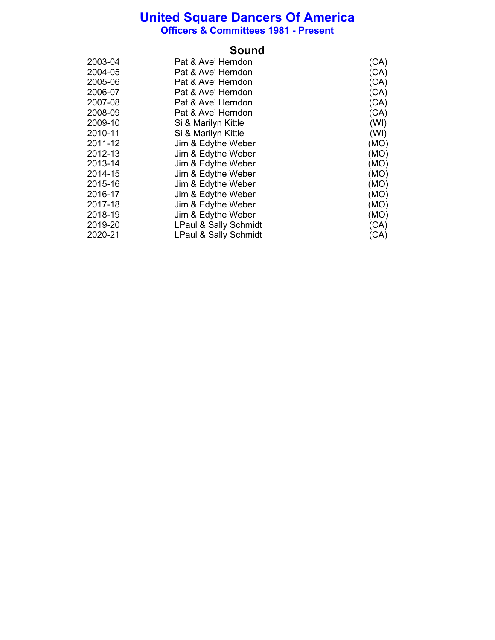**Officers & Committees 1981 - Present**

| 2003-04 | Pat & Ave' Herndon               | (CA) |
|---------|----------------------------------|------|
| 2004-05 | Pat & Ave' Herndon               | (CA) |
| 2005-06 | Pat & Ave' Herndon               | (CA) |
| 2006-07 | Pat & Ave' Herndon               | (CA) |
| 2007-08 | Pat & Ave' Herndon               | (CA) |
| 2008-09 | Pat & Ave' Herndon               | (CA) |
| 2009-10 | Si & Marilyn Kittle              | (WI) |
| 2010-11 | Si & Marilyn Kittle              | (WI) |
| 2011-12 | Jim & Edythe Weber               | (MO) |
| 2012-13 | Jim & Edythe Weber               | (MO) |
| 2013-14 | Jim & Edythe Weber               | (MO) |
| 2014-15 | Jim & Edythe Weber               | (MO) |
| 2015-16 | Jim & Edythe Weber               | (MO) |
| 2016-17 | Jim & Edythe Weber               | (MO) |
| 2017-18 | Jim & Edythe Weber               | (MO) |
| 2018-19 | Jim & Edythe Weber               | (MO) |
| 2019-20 | LPaul & Sally Schmidt            | (CA) |
| 2020-21 | <b>LPaul &amp; Sally Schmidt</b> | (CA) |
|         |                                  |      |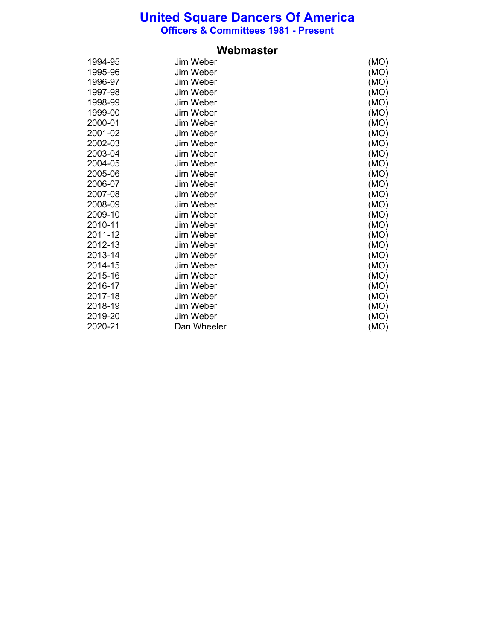**Officers & Committees 1981 - Present**

| 1994-95 | Jim Weber   | (MO) |
|---------|-------------|------|
| 1995-96 | Jim Weber   | (MO) |
| 1996-97 | Jim Weber   | (MO) |
| 1997-98 | Jim Weber   | (MO) |
| 1998-99 | Jim Weber   | (MO) |
| 1999-00 | Jim Weber   | (MO) |
| 2000-01 | Jim Weber   | (MO) |
| 2001-02 | Jim Weber   | (MO) |
| 2002-03 | Jim Weber   | (MO) |
| 2003-04 | Jim Weber   | (MO) |
| 2004-05 | Jim Weber   | (MO) |
| 2005-06 | Jim Weber   | (MO) |
| 2006-07 | Jim Weber   | (MO) |
| 2007-08 | Jim Weber   | (MO) |
| 2008-09 | Jim Weber   | (MO) |
| 2009-10 | Jim Weber   | (MO) |
| 2010-11 | Jim Weber   | (MO) |
| 2011-12 | Jim Weber   | (MO) |
| 2012-13 | Jim Weber   | (MO) |
| 2013-14 | Jim Weber   | (MO) |
| 2014-15 | Jim Weber   | (MO) |
| 2015-16 | Jim Weber   | (MO) |
| 2016-17 | Jim Weber   | (MO) |
| 2017-18 | Jim Weber   | (MO) |
| 2018-19 | Jim Weber   | (MO) |
| 2019-20 | Jim Weber   | (MO) |
| 2020-21 | Dan Wheeler | (MO) |

#### **Webmaster**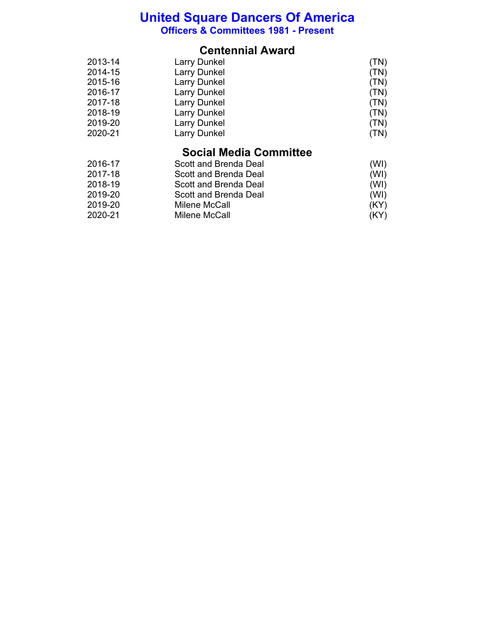**Officers & Committees 1981 - Present**

### **Centennial Award**

| 2013-14 | <b>Larry Dunkel</b> | (TN) |
|---------|---------------------|------|
| 2014-15 | <b>Larry Dunkel</b> | (TN) |
| 2015-16 | <b>Larry Dunkel</b> | (TN) |
| 2016-17 | <b>Larry Dunkel</b> | (TN) |
| 2017-18 | <b>Larry Dunkel</b> | (TN) |
| 2018-19 | <b>Larry Dunkel</b> | (TN) |
| 2019-20 | <b>Larry Dunkel</b> | (TN) |
| 2020-21 | <b>Larry Dunkel</b> | (TN) |
|         |                     |      |

## **Social Media Committee**

| 2016-17 | Scott and Brenda Deal | (WI) |
|---------|-----------------------|------|
| 2017-18 | Scott and Brenda Deal | (WI) |
| 2018-19 | Scott and Brenda Deal | (WI) |
| 2019-20 | Scott and Brenda Deal | (WI) |
| 2019-20 | Milene McCall         | (KY) |
| 2020-21 | Milene McCall         | (KY) |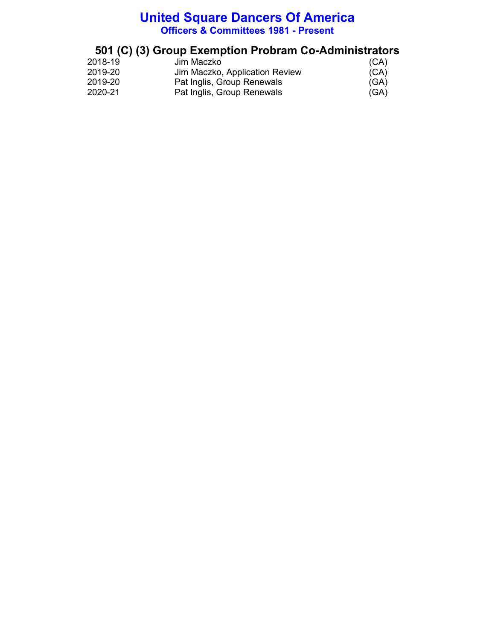### **United Square Dancers Of America Officers & Committees 1981 - Present**

## **501 (C) (3) Group Exemption Probram Co-Administrators**

| 2018-19 | Jim Maczko                     | (CA) |
|---------|--------------------------------|------|
| 2019-20 | Jim Maczko, Application Review | (CA) |
| 2019-20 | Pat Inglis, Group Renewals     | (GA) |
| 2020-21 | Pat Inglis, Group Renewals     | (GA) |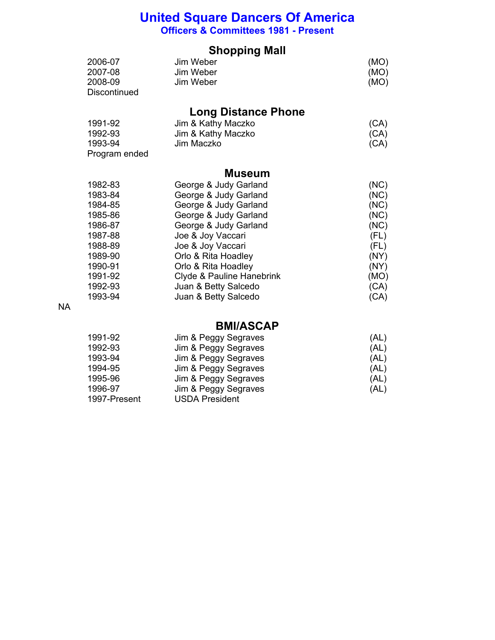### **United Square Dancers Of America Officers & Committees 1981 - Present**

### **Shopping Mall**

| 2006-07             | Jim Weber | (MO) |
|---------------------|-----------|------|
| 2007-08             | Jim Weber | (MO) |
| 2008-09             | Jim Weber | (MO) |
| <b>Discontinued</b> |           |      |

## **Long Distance Phone**

| 1991-92       | Jim & Kathy Maczko | (CA) |
|---------------|--------------------|------|
| 1992-93       | Jim & Kathy Maczko | (CA) |
| 1993-94       | Jim Maczko         | (CA) |
| Program ended |                    |      |

#### **Museum**

| 1982-83 | George & Judy Garland     | (NC) |
|---------|---------------------------|------|
| 1983-84 | George & Judy Garland     | (NC) |
| 1984-85 | George & Judy Garland     | (NC) |
| 1985-86 | George & Judy Garland     | (NC) |
| 1986-87 | George & Judy Garland     | (NC) |
| 1987-88 | Joe & Joy Vaccari         | (FL) |
| 1988-89 | Joe & Joy Vaccari         | (FL) |
| 1989-90 | Orlo & Rita Hoadley       | (NY) |
| 1990-91 | Orlo & Rita Hoadley       | (NY) |
| 1991-92 | Clyde & Pauline Hanebrink | (MO) |
| 1992-93 | Juan & Betty Salcedo      | (CA) |
| 1993-94 | Juan & Betty Salcedo      | (CA) |

NA

#### **BMI/ASCAP**

| 1991-92      | Jim & Peggy Segraves  | (AL) |
|--------------|-----------------------|------|
| 1992-93      | Jim & Peggy Segraves  | (AL) |
| 1993-94      | Jim & Peggy Segraves  | (AL) |
| 1994-95      | Jim & Peggy Segraves  | (AL) |
| 1995-96      | Jim & Peggy Segraves  | (AL) |
| 1996-97      | Jim & Peggy Segraves  | (AL) |
| 1997-Present | <b>USDA President</b> |      |